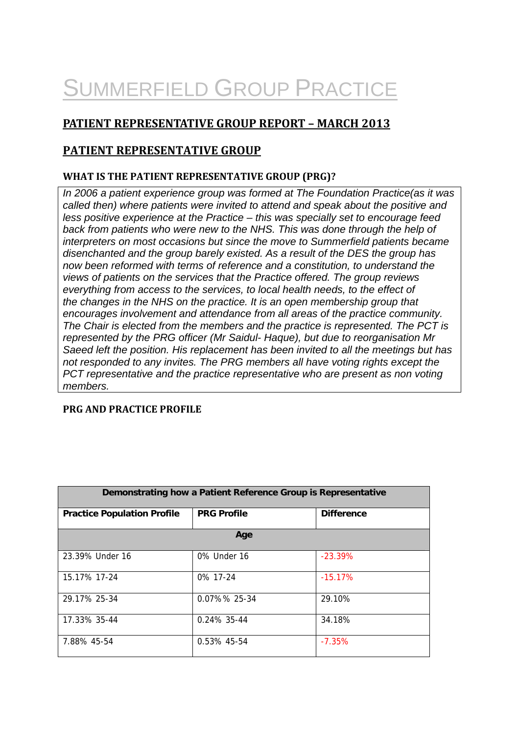# SUMMERFIELD GROUP PRACTICE

# **PATIENT REPRESENTATIVE GROUP REPORT – MARCH 2013**

## **PATIENT REPRESENTATIVE GROUP**

#### **WHAT IS THE PATIENT REPRESENTATIVE GROUP (PRG)?**

*In 2006 a patient experience group was formed at The Foundation Practice(as it was called then) where patients were invited to attend and speak about the positive and less positive experience at the Practice – this was specially set to encourage feed back from patients who were new to the NHS. This was done through the help of interpreters on most occasions but since the move to Summerfield patients became disenchanted and the group barely existed. As a result of the DES the group has now been reformed with terms of reference and a constitution, to understand the views of patients on the services that the Practice offered. The group reviews everything from access to the services, to local health needs, to the effect of the changes in the NHS on the practice. It is an open membership group that encourages involvement and attendance from all areas of the practice community. The Chair is elected from the members and the practice is represented. The PCT is represented by the PRG officer (Mr Saidul- Haque), but due to reorganisation Mr Saeed left the position. His replacement has been invited to all the meetings but has not responded to any invites. The PRG members all have voting rights except the PCT representative and the practice representative who are present as non voting members.* 

#### **PRG AND PRACTICE PROFILE**

|                                    | Demonstrating how a Patient Reference Group is Representative |                   |  |
|------------------------------------|---------------------------------------------------------------|-------------------|--|
|                                    |                                                               |                   |  |
| <b>Practice Population Profile</b> | <b>PRG Profile</b>                                            | <b>Difference</b> |  |
|                                    |                                                               |                   |  |
|                                    | Age                                                           |                   |  |
|                                    |                                                               |                   |  |
| 23.39% Under 16                    | 0% Under 16                                                   | $-23.39%$         |  |
|                                    |                                                               |                   |  |
| 15.17% 17-24                       | 0% 17-24                                                      | $-15.17%$         |  |
|                                    |                                                               |                   |  |
| 29.17% 25-34                       | $0.07\%$ % 25-34                                              | 29.10%            |  |
|                                    |                                                               |                   |  |
| 17.33% 35-44                       | $0.24\%$ 35-44                                                | 34.18%            |  |
|                                    |                                                               |                   |  |
| 7.88% 45-54                        | 0.53% 45-54                                                   | $-7.35%$          |  |
|                                    |                                                               |                   |  |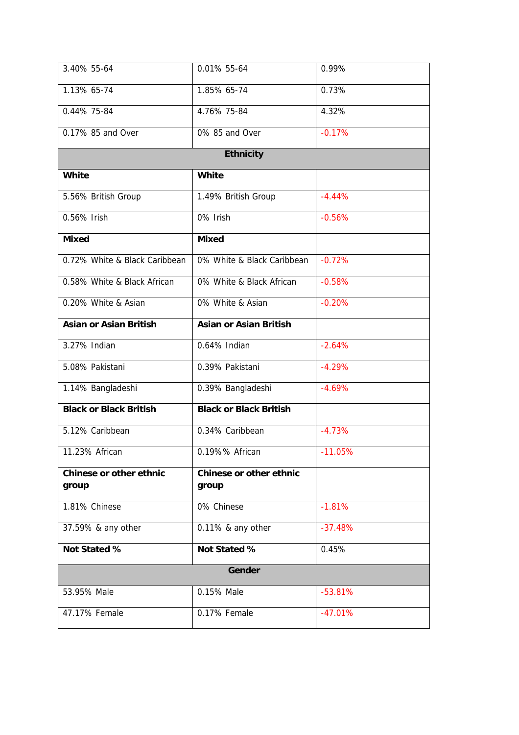| 3.40% 55-64                             | 0.01% 55-64                             | 0.99%     |
|-----------------------------------------|-----------------------------------------|-----------|
| 1.13% 65-74                             | 1.85% 65-74                             | 0.73%     |
| 0.44% 75-84                             | 4.76% 75-84                             | 4.32%     |
| 0.17% 85 and Over                       | 0% 85 and Over                          | $-0.17%$  |
|                                         | <b>Ethnicity</b>                        |           |
| <b>White</b>                            | <b>White</b>                            |           |
| 5.56% British Group                     | 1.49% British Group                     | $-4.44%$  |
| 0.56% Irish                             | 0% Irish                                | $-0.56%$  |
| <b>Mixed</b>                            | <b>Mixed</b>                            |           |
| 0.72% White & Black Caribbean           | 0% White & Black Caribbean              | $-0.72%$  |
| 0.58% White & Black African             | 0% White & Black African                | $-0.58%$  |
| 0.20% White & Asian                     | 0% White & Asian                        | $-0.20%$  |
| <b>Asian or Asian British</b>           | <b>Asian or Asian British</b>           |           |
| 3.27% Indian                            | 0.64% Indian                            | $-2.64%$  |
| 5.08% Pakistani                         | 0.39% Pakistani                         | $-4.29%$  |
| 1.14% Bangladeshi                       | 0.39% Bangladeshi                       | $-4.69%$  |
| <b>Black or Black British</b>           | <b>Black or Black British</b>           |           |
| 5.12% Caribbean                         | 0.34% Caribbean                         | $-4.73%$  |
| 11.23% African                          | 0.19%% African                          | $-11.05%$ |
| <b>Chinese or other ethnic</b><br>group | <b>Chinese or other ethnic</b><br>group |           |
| 1.81% Chinese                           | 0% Chinese                              | $-1.81%$  |
| 37.59% & any other                      | 0.11% & any other                       | $-37.48%$ |
| Not Stated %                            | Not Stated %                            | 0.45%     |
|                                         | Gender                                  |           |
| 53.95% Male                             | 0.15% Male                              | $-53.81%$ |
| 47.17% Female                           | 0.17% Female                            | $-47.01%$ |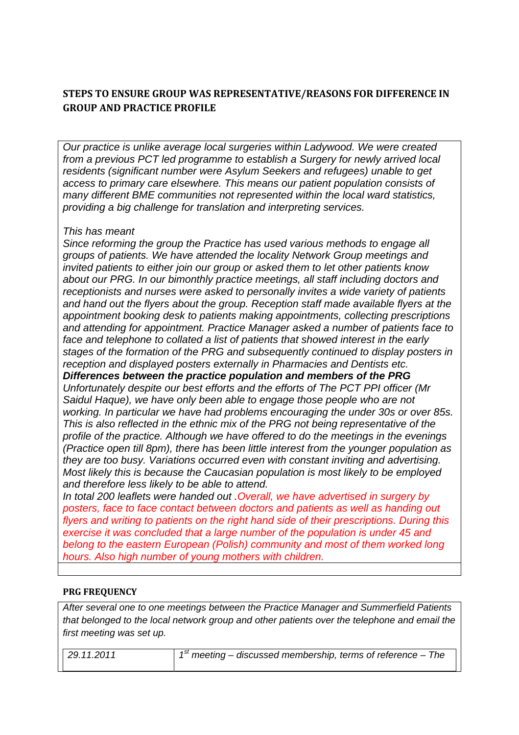## **STEPS TO ENSURE GROUP WAS REPRESENTATIVE/REASONS FOR DIFFERENCE IN GROUP** AND **PRACTICE PROFILE**

*Our practice is unlike average local surgeries within Ladywood. We were created from a previous PCT led programme to establish a Surgery for newly arrived local residents (significant number were Asylum Seekers and refugees) unable to get access to primary care elsewhere. This means our patient population consists of many different BME communities not represented within the local ward statistics, providing a big challenge for translation and interpreting services.* 

#### *This has meant*

*Since reforming the group the Practice has used various methods to engage all groups of patients. We have attended the locality Network Group meetings and invited patients to either join our group or asked them to let other patients know about our PRG. In our bimonthly practice meetings, all staff including doctors and receptionists and nurses were asked to personally invites a wide variety of patients and hand out the flyers about the group. Reception staff made available flyers at the appointment booking desk to patients making appointments, collecting prescriptions and attending for appointment. Practice Manager asked a number of patients face to face and telephone to collated a list of patients that showed interest in the early stages of the formation of the PRG and subsequently continued to display posters in reception and displayed posters externally in Pharmacies and Dentists etc. Differences between the practice population and members of the PRG Unfortunately despite our best efforts and the efforts of The PCT PPI officer (Mr Saidul Haque), we have only been able to engage those people who are not working. In particular we have had problems encouraging the under 30s or over 85s. This is also reflected in the ethnic mix of the PRG not being representative of the profile of the practice. Although we have offered to do the meetings in the evenings (Practice open till 8pm), there has been little interest from the younger population as they are too busy. Variations occurred even with constant inviting and advertising.* 

*Most likely this is because the Caucasian population is most likely to be employed and therefore less likely to be able to attend. In total 200 leaflets were handed out .Overall, we have advertised in surgery by posters, face to face contact between doctors and patients as well as handing out flyers and writing to patients on the right hand side of their prescriptions. During this exercise it was concluded that a large number of the population is under 45 and belong to the eastern European (Polish) community and most of them worked long* 

## *hours. Also high number of young mothers with children.*

#### **PRG FREQUENCY**

*After several one to one meetings between the Practice Manager and Summerfield Patients that belonged to the local network group and other patients over the telephone and email the first meeting was set up.* 

*29.11.2011 1st meeting – discussed membership, terms of reference – The*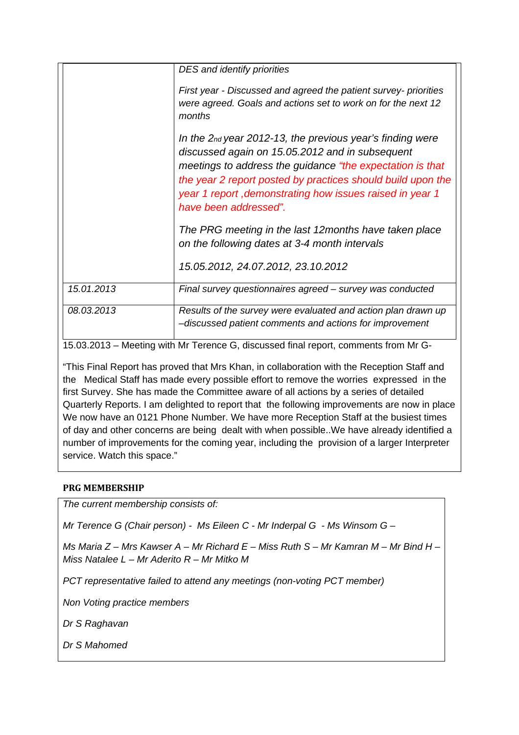|            | DES and identify priorities                                                                                                                                                                                                                                                                                                     |
|------------|---------------------------------------------------------------------------------------------------------------------------------------------------------------------------------------------------------------------------------------------------------------------------------------------------------------------------------|
|            | First year - Discussed and agreed the patient survey- priorities<br>were agreed. Goals and actions set to work on for the next 12<br>months                                                                                                                                                                                     |
|            | In the $2nd$ year 2012-13, the previous year's finding were<br>discussed again on 15.05.2012 and in subsequent<br>meetings to address the guidance "the expectation is that<br>the year 2 report posted by practices should build upon the<br>year 1 report, demonstrating how issues raised in year 1<br>have been addressed". |
|            | The PRG meeting in the last 12 months have taken place<br>on the following dates at 3-4 month intervals                                                                                                                                                                                                                         |
|            | 15.05.2012, 24.07.2012, 23.10.2012                                                                                                                                                                                                                                                                                              |
| 15.01.2013 | Final survey questionnaires agreed - survey was conducted                                                                                                                                                                                                                                                                       |
| 08.03.2013 | Results of the survey were evaluated and action plan drawn up<br>-discussed patient comments and actions for improvement                                                                                                                                                                                                        |

15.03.2013 – Meeting with Mr Terence G, discussed final report, comments from Mr G-

"This Final Report has proved that Mrs Khan, in collaboration with the Reception Staff and the Medical Staff has made every possible effort to remove the worries expressed in the first Survey. She has made the Committee aware of all actions by a series of detailed Quarterly Reports. I am delighted to report that the following improvements are now in place We now have an 0121 Phone Number. We have more Reception Staff at the busiest times of day and other concerns are being dealt with when possible..We have already identified a number of improvements for the coming year, including the provision of a larger Interpreter service. Watch this space."

#### **PRG MEMBERSHIP**

*The current membership consists of:* 

*Mr Terence G (Chair person) - Ms Eileen C - Mr Inderpal G - Ms Winsom G –* 

*Ms Maria Z – Mrs Kawser A – Mr Richard E – Miss Ruth S – Mr Kamran M – Mr Bind H – Miss Natalee L – Mr Aderito R – Mr Mitko M* 

*PCT representative failed to attend any meetings (non-voting PCT member)* 

*Non Voting practice members* 

*Dr S Raghavan* 

*Dr S Mahomed*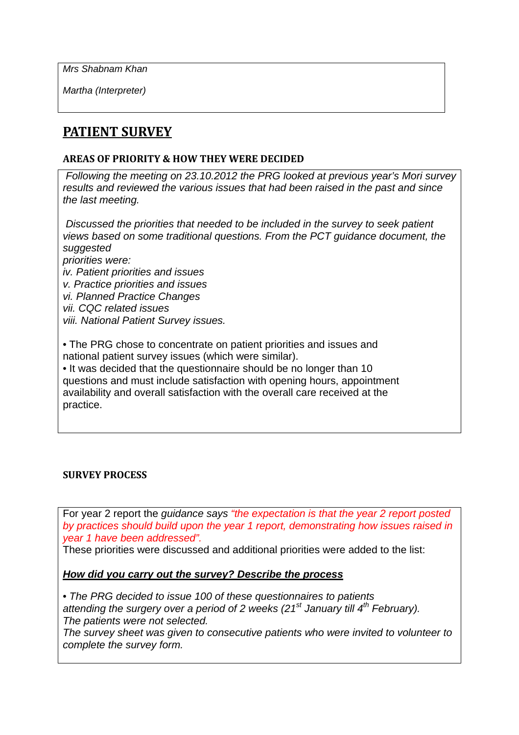*Mrs Shabnam Khan* 

*Martha (Interpreter)* 

# **PATIENT SURVEY**

## **AREAS OF PRIORITY & HOW THEY WERE DECIDED**

 *Following the meeting on 23.10.2012 the PRG looked at previous year's Mori survey results and reviewed the various issues that had been raised in the past and since the last meeting.* 

 *Discussed the priorities that needed to be included in the survey to seek patient views based on some traditional questions. From the PCT guidance document, the suggested priorities were: iv. Patient priorities and issues v. Practice priorities and issues vi. Planned Practice Changes vii. CQC related issues* 

*viii. National Patient Survey issues.* 

• The PRG chose to concentrate on patient priorities and issues and national patient survey issues (which were similar).

• It was decided that the questionnaire should be no longer than 10 questions and must include satisfaction with opening hours, appointment availability and overall satisfaction with the overall care received at the practice.

#### **SURVEY PROCESS**

For year 2 report the *guidance says "the expectation is that the year 2 report posted by practices should build upon the year 1 report, demonstrating how issues raised in year 1 have been addressed".* 

These priorities were discussed and additional priorities were added to the list:

*How did you carry out the survey? Describe the process*

• *The PRG decided to issue 100 of these questionnaires to patients*  attending the surgery over a period of 2 weeks (21<sup>st</sup> January till 4<sup>th</sup> February). *The patients were not selected.* 

*The survey sheet was given to consecutive patients who were invited to volunteer to complete the survey form.*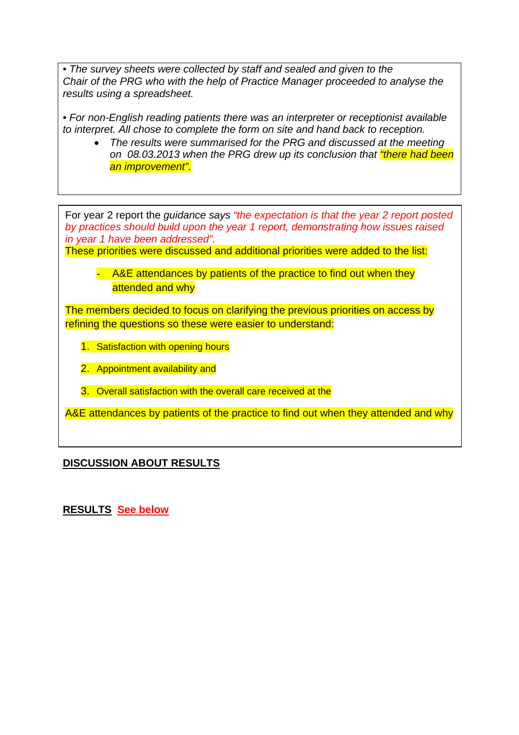• *The survey sheets were collected by staff and sealed and given to the Chair of the PRG who with the help of Practice Manager proceeded to analyse the results using a spreadsheet.* 

• *For non-English reading patients there was an interpreter or receptionist available to interpret. All chose to complete the form on site and hand back to reception.* 

• *The results were summarised for the PRG and discussed at the meeting on 08.03.2013 when the PRG drew up its conclusion that "there had been an improvement".* 

For year 2 report the *guidance says "the expectation is that the year 2 report posted by practices should build upon the year 1 report, demonstrating how issues raised in year 1 have been addressed".*

These priorities were discussed and additional priorities were added to the list:

- A&E attendances by patients of the practice to find out when they attended and why

The members decided to focus on clarifying the previous priorities on access by refining the questions so these were easier to understand:

- 1. Satisfaction with opening hours
- 2. Appointment availability and
- 3. Overall satisfaction with the overall care received at the

A&E attendances by patients of the practice to find out when they attended and why

# **DISCUSSION ABOUT RESULTS**

**RESULTS See below**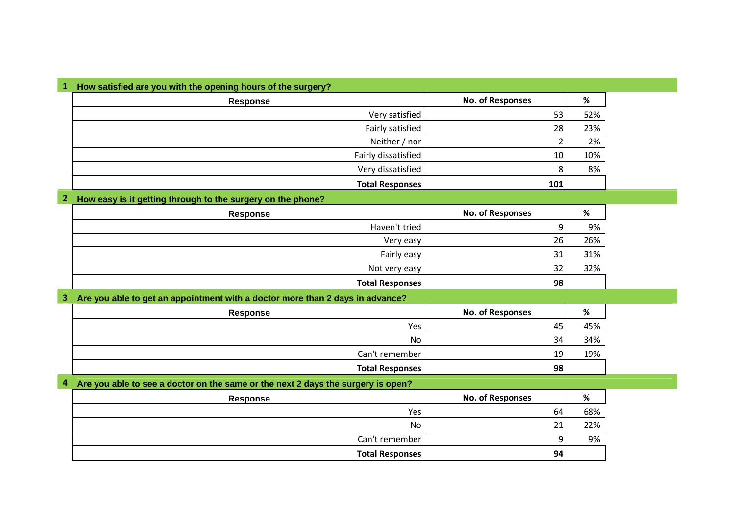| How satisfied are you with the opening hours of the surgery? |                         |     |
|--------------------------------------------------------------|-------------------------|-----|
| <b>Response</b>                                              | <b>No. of Responses</b> | %   |
| Very satisfied                                               | 53                      | 52% |
| Fairly satisfied                                             | 28                      | 23% |
| Neither / nor                                                |                         | 2%  |
| Fairly dissatisfied                                          | 10                      | 10% |
| Very dissatisfied                                            | 8                       | 8%  |
| <b>Total Responses</b>                                       | 101                     |     |

#### **2 How easy is it getting through to the surgery on the phone?**

| Response               | <b>No. of Responses</b> | %   |
|------------------------|-------------------------|-----|
| Haven't tried          |                         | 9%  |
| Very easy              | 26                      | 26% |
| Fairly easy            | 31                      | 31% |
| Not very easy          | 32                      | 32% |
| <b>Total Responses</b> | 98                      |     |

#### **3 Are you able to get an appointment with a doctor more than 2 days in advance?**

| <b>Response</b> | <b>No. of Responses</b> | %   |
|-----------------|-------------------------|-----|
| Yes             | 45                      | 45% |
| No              | 34                      | 34% |
| Can't remember  | 19                      | 19% |
| Total Responses | 98                      |     |

#### **4 Are you able to see a doctor on the same or the next 2 days the surgery is open?**

| <b>Response</b> | <b>No. of Responses</b> | %   |
|-----------------|-------------------------|-----|
| Yes             | 64                      | 68% |
| No              | 21                      | 22% |
| Can't remember  |                         | 9%  |
| Total Responses | 94                      |     |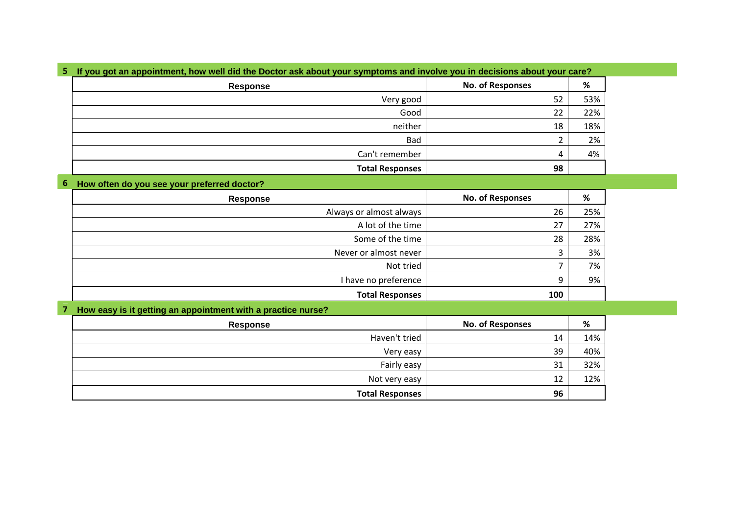| <b>Response</b>        | <b>No. of Responses</b> | $\%$ |
|------------------------|-------------------------|------|
| Very good              | 52                      | 53%  |
| Good                   | 22                      | 22%  |
| neither                | 18                      | 18%  |
| Bad                    |                         | 2%   |
| Can't remember         | 4                       | 4%   |
| <b>Total Responses</b> | 98                      |      |

#### **6 How often do you see your preferred doctor?**

| Response                | <b>No. of Responses</b> | %   |
|-------------------------|-------------------------|-----|
| Always or almost always | 26                      | 25% |
| A lot of the time       | 27                      | 27% |
| Some of the time        | 28                      | 28% |
| Never or almost never   |                         | 3%  |
| Not tried               |                         | 7%  |
| I have no preference    | 9                       | 9%  |
| <b>Total Responses</b>  | 100                     |     |

#### **7 How easy is it getting an appointment with a practice nurse?**

| Response               | <b>No. of Responses</b> | %   |
|------------------------|-------------------------|-----|
| Haven't tried          | 14                      | 14% |
| Very easy              | 39                      | 40% |
| Fairly easy            | 31                      | 32% |
| Not very easy          | 12                      | 12% |
| <b>Total Responses</b> | 96                      |     |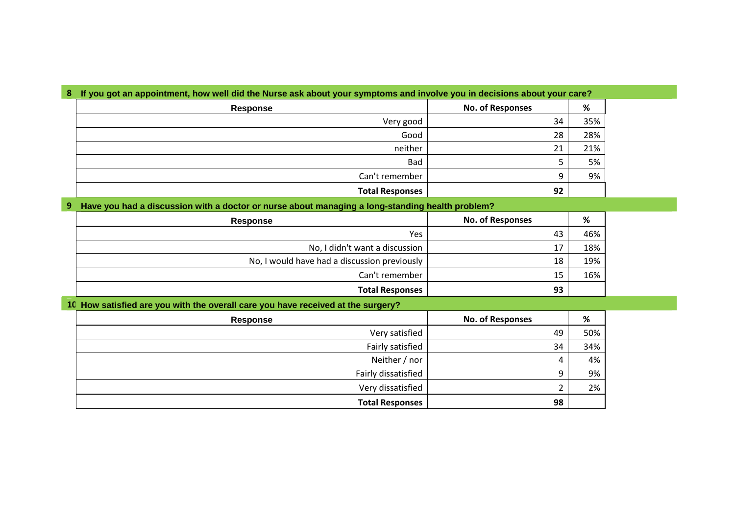| Response               | <b>No. of Responses</b> | %   |
|------------------------|-------------------------|-----|
| Very good              | 34                      | 35% |
| Good                   | 28                      | 28% |
| neither                | 21                      | 21% |
| Bad                    |                         | 5%  |
| Can't remember         |                         | 9%  |
| <b>Total Responses</b> | 92                      |     |

#### **9 Have you had a discussion with a doctor or nurse about managing a long-standing health problem?**

| <b>Response</b>                              | <b>No. of Responses</b> |     |
|----------------------------------------------|-------------------------|-----|
| <b>Yes</b>                                   | 43                      | 46% |
| No, I didn't want a discussion               | 17                      | 18% |
| No, I would have had a discussion previously | 18                      | 19% |
| Can't remember                               | 15                      | 16% |
| <b>Total Responses</b>                       | 93                      |     |

#### **10 How satisfied are you with the overall care you have received at the surgery?**

| Response               | <b>No. of Responses</b> | %   |
|------------------------|-------------------------|-----|
| Very satisfied         | 49                      | 50% |
| Fairly satisfied       | 34                      | 34% |
| Neither / nor          | 4                       | 4%  |
| Fairly dissatisfied    | 9                       | 9%  |
| Very dissatisfied      |                         | 2%  |
| <b>Total Responses</b> | 98                      |     |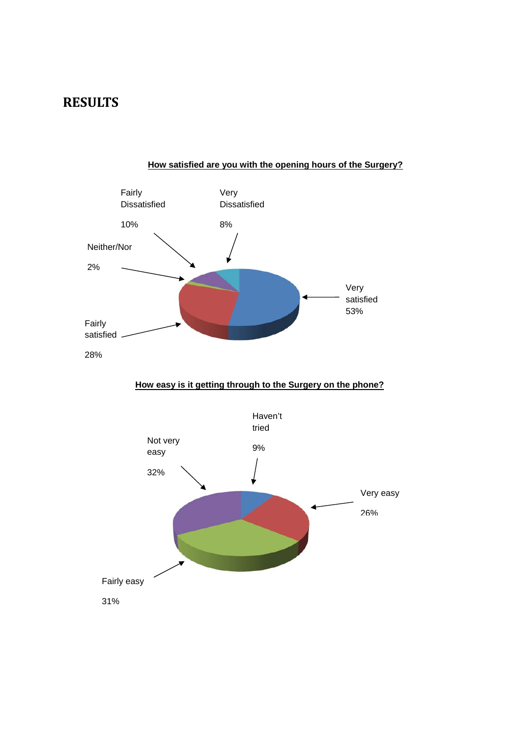# **RESULTS**



## **How satisfied are you with the opening hours of the Surgery?**

**How easy is it getting through to the Surgery on the phone?**

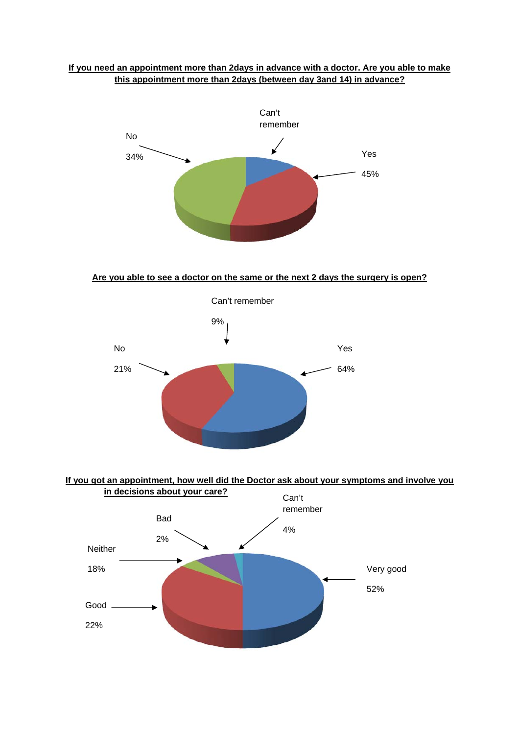#### **If you need an appointment more than 2days in advance with a doctor. Are you able to make this appointment more than 2days (between day 3and 14) in advance?**



#### **Are you able to see a doctor on the same or the next 2 days the surgery is open?**



#### **If you got an appointment, how well did the Doctor ask about your symptoms and involve you**

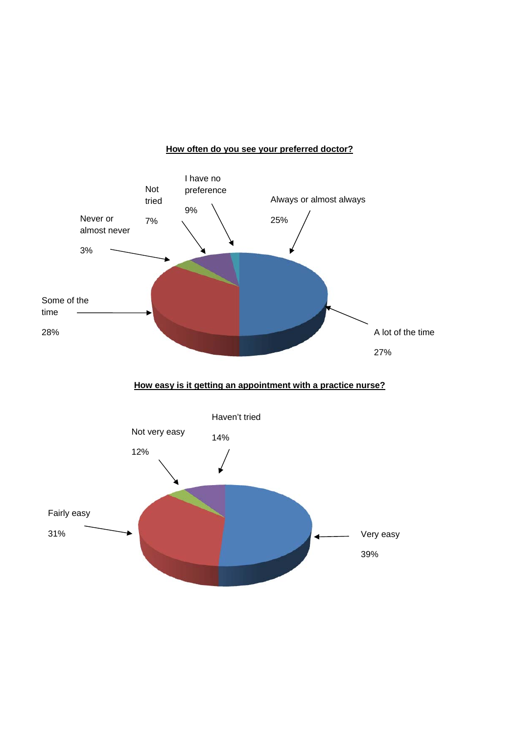#### **How often do you see your preferred doctor?**

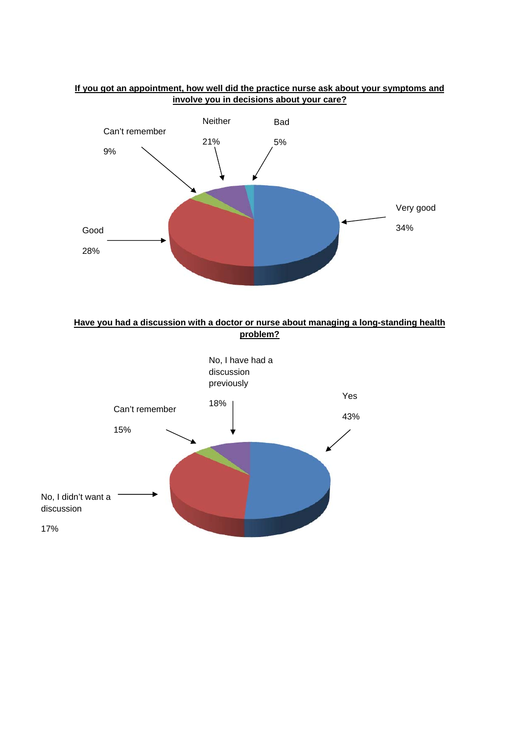

#### **If you got an appointment, how well did the practice nurse ask about your symptoms and involve you in decisions about your care?**



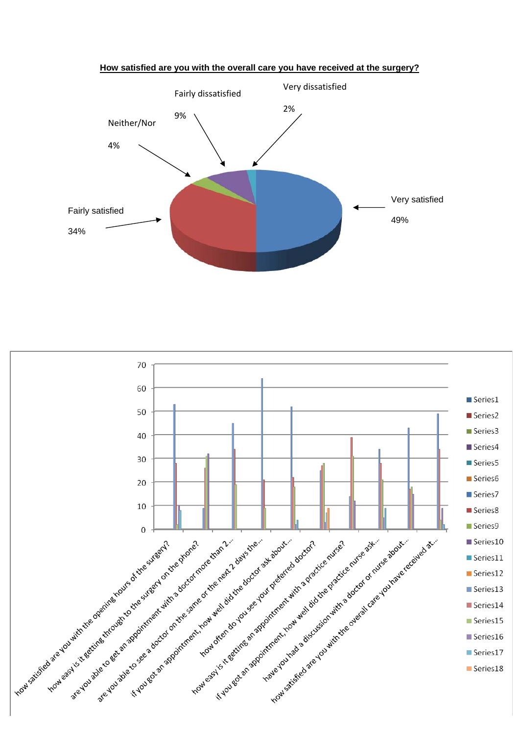

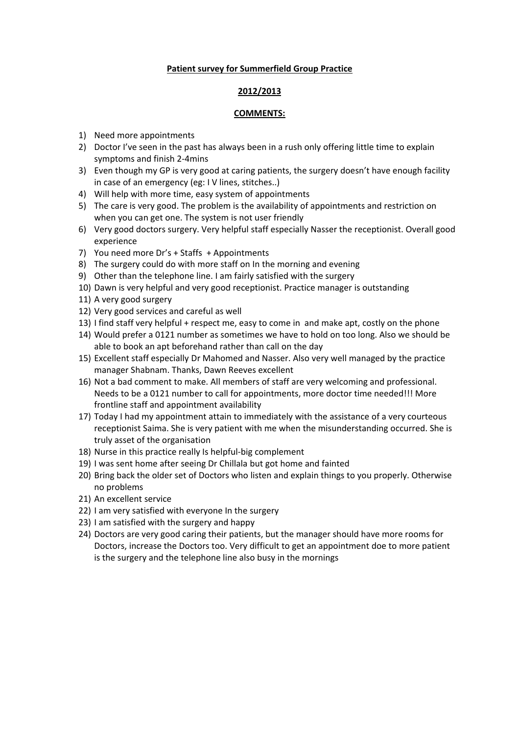#### **Patient survey for Summerfield Group Practice**

#### **2012/2013**

#### **COMMENTS:**

- 1) Need more appointments
- 2) Doctor I've seen in the past has always been in a rush only offering little time to explain symptoms and finish 2‐4mins
- 3) Even though my GP is very good at caring patients, the surgery doesn't have enough facility in case of an emergency (eg: I V lines, stitches..)
- 4) Will help with more time, easy system of appointments
- 5) The care is very good. The problem is the availability of appointments and restriction on when you can get one. The system is not user friendly
- 6) Very good doctors surgery. Very helpful staff especially Nasser the receptionist. Overall good experience
- 7) You need more Dr's + Staffs + Appointments
- 8) The surgery could do with more staff on In the morning and evening
- 9) Other than the telephone line. I am fairly satisfied with the surgery
- 10) Dawn is very helpful and very good receptionist. Practice manager is outstanding
- 11) A very good surgery
- 12) Very good services and careful as well
- 13) I find staff very helpful + respect me, easy to come in and make apt, costly on the phone
- 14) Would prefer a 0121 number as sometimes we have to hold on too long. Also we should be able to book an apt beforehand rather than call on the day
- 15) Excellent staff especially Dr Mahomed and Nasser. Also very well managed by the practice manager Shabnam. Thanks, Dawn Reeves excellent
- 16) Not a bad comment to make. All members of staff are very welcoming and professional. Needs to be a 0121 number to call for appointments, more doctor time needed!!! More frontline staff and appointment availability
- 17) Today I had my appointment attain to immediately with the assistance of a very courteous receptionist Saima. She is very patient with me when the misunderstanding occurred. She is truly asset of the organisation
- 18) Nurse in this practice really Is helpful‐big complement
- 19) I was sent home after seeing Dr Chillala but got home and fainted
- 20) Bring back the older set of Doctors who listen and explain things to you properly. Otherwise no problems
- 21) An excellent service
- 22) I am very satisfied with everyone In the surgery
- 23) I am satisfied with the surgery and happy
- 24) Doctors are very good caring their patients, but the manager should have more rooms for Doctors, increase the Doctors too. Very difficult to get an appointment doe to more patient is the surgery and the telephone line also busy in the mornings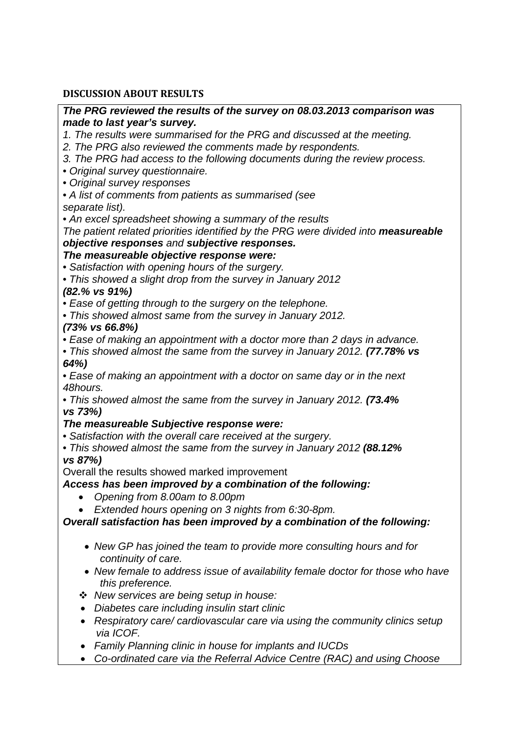## **DISCUSSION ABOUT RESULTS**

#### *The PRG reviewed the results of the survey on 08.03.2013 comparison was made to last year's survey.*

*1. The results were summarised for the PRG and discussed at the meeting.* 

- *2. The PRG also reviewed the comments made by respondents.*
- *3. The PRG had access to the following documents during the review process.*
- *Original survey questionnaire.*
- *Original survey responses*
- *A list of comments from patients as summarised (see separate list).*
- *An excel spreadsheet showing a summary of the results*

*The patient related priorities identified by the PRG were divided into measureable objective responses and subjective responses.* 

## *The measureable objective response were:*

• *Satisfaction with opening hours of the surgery.* 

• *This showed a slight drop from the survey in January 2012* 

## *(82.% vs 91%)*

- *Ease of getting through to the surgery on the telephone.*
- *This showed almost same from the survey in January 2012.*

## *(73% vs 66.8%)*

- *Ease of making an appointment with a doctor more than 2 days in advance.*
- *This showed almost the same from the survey in January 2012. (77.78% vs 64%)*
- *Ease of making an appointment with a doctor on same day or in the next 48hours.*
- *This showed almost the same from the survey in January 2012. (73.4% vs 73%)*

## *The measureable Subjective response were:*

• *Satisfaction with the overall care received at the surgery.* 

• *This showed almost the same from the survey in January 2012 (88.12% vs 87%)* 

Overall the results showed marked improvement

## *Access has been improved by a combination of the following:*

- *Opening from 8.00am to 8.00pm*
- *Extended hours opening on 3 nights from 6:30-8pm.*

*Overall satisfaction has been improved by a combination of the following:* 

- *New GP has joined the team to provide more consulting hours and for continuity of care.*
- New female to address issue of availability female doctor for those who have *this preference.*
- *New services are being setup in house:*
- *Diabetes care including insulin start clinic*
- *Respiratory care/ cardiovascular care via using the community clinics setup via ICOF.*
- *Family Planning clinic in house for implants and IUCDs*
- *Co-ordinated care via the Referral Advice Centre (RAC) and using Choose*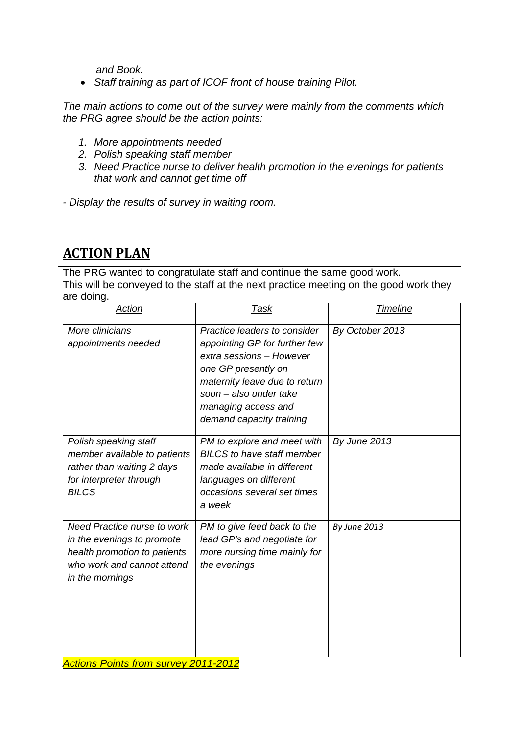*and Book.* 

• *Staff training as part of ICOF front of house training Pilot.* 

*The main actions to come out of the survey were mainly from the comments which the PRG agree should be the action points:* 

- *1. More appointments needed*
- *2. Polish speaking staff member*
- *3. Need Practice nurse to deliver health promotion in the evenings for patients that work and cannot get time off*

*- Display the results of survey in waiting room.* 

# **ACTION PLAN**

The PRG wanted to congratulate staff and continue the same good work. This will be conveyed to the staff at the next practice meeting on the good work they are doing.

| More clinicians<br>Practice leaders to consider<br>By October 2013<br>appointing GP for further few<br>appointments needed<br>extra sessions - However<br>one GP presently on<br>maternity leave due to return<br>soon - also under take<br>managing access and<br>demand capacity training<br>Polish speaking staff<br>PM to explore and meet with<br>By June 2013<br><b>BILCS</b> to have staff member<br>member available to patients<br>rather than waiting 2 days<br>made available in different<br>for interpreter through<br>languages on different<br><b>BILCS</b><br>occasions several set times<br>a week<br>Need Practice nurse to work<br>PM to give feed back to the<br>By June 2013<br>lead GP's and negotiate for<br>in the evenings to promote<br>more nursing time mainly for<br>health promotion to patients<br>who work and cannot attend<br>the evenings<br>in the mornings | ar <del>o</del> uomiy.<br>Action | <u>Task</u> | <b>Timeline</b> |
|-------------------------------------------------------------------------------------------------------------------------------------------------------------------------------------------------------------------------------------------------------------------------------------------------------------------------------------------------------------------------------------------------------------------------------------------------------------------------------------------------------------------------------------------------------------------------------------------------------------------------------------------------------------------------------------------------------------------------------------------------------------------------------------------------------------------------------------------------------------------------------------------------|----------------------------------|-------------|-----------------|
|                                                                                                                                                                                                                                                                                                                                                                                                                                                                                                                                                                                                                                                                                                                                                                                                                                                                                                 |                                  |             |                 |
|                                                                                                                                                                                                                                                                                                                                                                                                                                                                                                                                                                                                                                                                                                                                                                                                                                                                                                 |                                  |             |                 |
| <b>Actions Points from survey 2011-2012</b>                                                                                                                                                                                                                                                                                                                                                                                                                                                                                                                                                                                                                                                                                                                                                                                                                                                     |                                  |             |                 |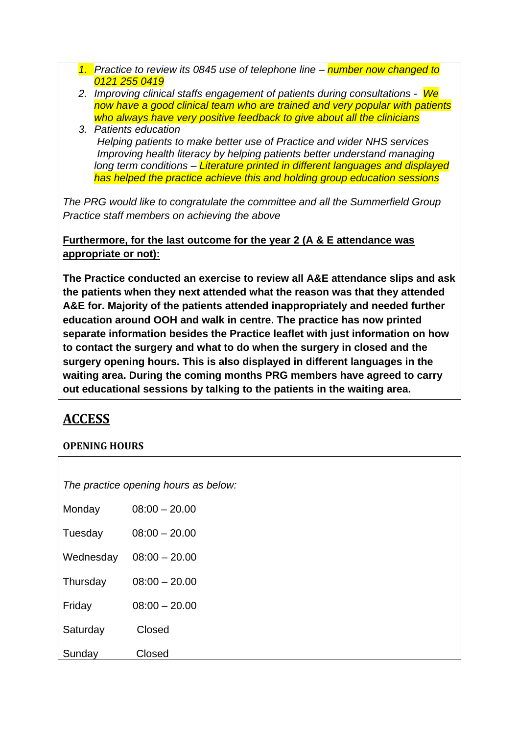- *1. Practice to review its 0845 use of telephone line number now changed to 0121 255 0419*
- *2. Improving clinical staffs engagement of patients during consultations We now have a good clinical team who are trained and very popular with patients who always have very positive feedback to give about all the clinicians*
- *3. Patients education Helping patients to make better use of Practice and wider NHS services Improving health literacy by helping patients better understand managing long term conditions – Literature printed in different languages and displayed has helped the practice achieve this and holding group education sessions*

*The PRG would like to congratulate the committee and all the Summerfield Group Practice staff members on achieving the above* 

**Furthermore, for the last outcome for the year 2 (A & E attendance was appropriate or not):** 

**The Practice conducted an exercise to review all A&E attendance slips and ask the patients when they next attended what the reason was that they attended A&E for. Majority of the patients attended inappropriately and needed further education around OOH and walk in centre. The practice has now printed separate information besides the Practice leaflet with just information on how to contact the surgery and what to do when the surgery in closed and the surgery opening hours. This is also displayed in different languages in the waiting area. During the coming months PRG members have agreed to carry out educational sessions by talking to the patients in the waiting area.** 

# **ACCESS**

# **OPENING HOURS**

|           | The practice opening hours as below: |
|-----------|--------------------------------------|
| Monday    | $08:00 - 20.00$                      |
| Tuesday   | $08:00 - 20.00$                      |
| Wednesday | $08:00 - 20.00$                      |
| Thursday  | $08:00 - 20.00$                      |
| Friday    | $08:00 - 20.00$                      |
| Saturday  | Closed                               |
| Sunday    | Closed                               |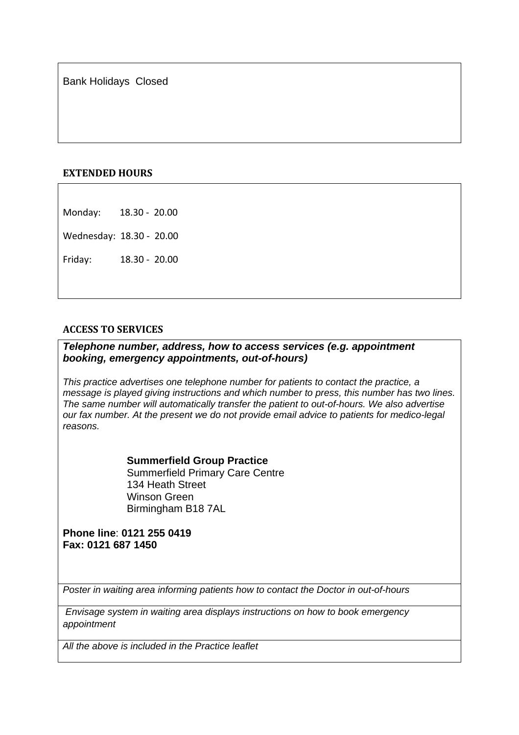Bank Holidays Closed

#### **EXTENDED HOURS**

Monday: 18.30 ‐ 20.00

Wednesday: 18.30 ‐ 20.00

Friday: 18.30 ‐ 20.00

#### **ACCESS TO SERVICES**

#### *Telephone number, address, how to access services (e.g. appointment booking, emergency appointments, out-of-hours)*

*This practice advertises one telephone number for patients to contact the practice, a message is played giving instructions and which number to press, this number has two lines. The same number will automatically transfer the patient to out-of-hours. We also advertise our fax number. At the present we do not provide email advice to patients for medico-legal reasons.* 

> **Summerfield Group Practice** Summerfield Primary Care Centre 134 Heath Street Winson Green Birmingham B18 7AL

#### **Phone line**: **0121 255 0419 Fax: 0121 687 1450**

*Poster in waiting area informing patients how to contact the Doctor in out-of-hours* 

 *Envisage system in waiting area displays instructions on how to book emergency appointment* 

*All the above is included in the Practice leaflet*